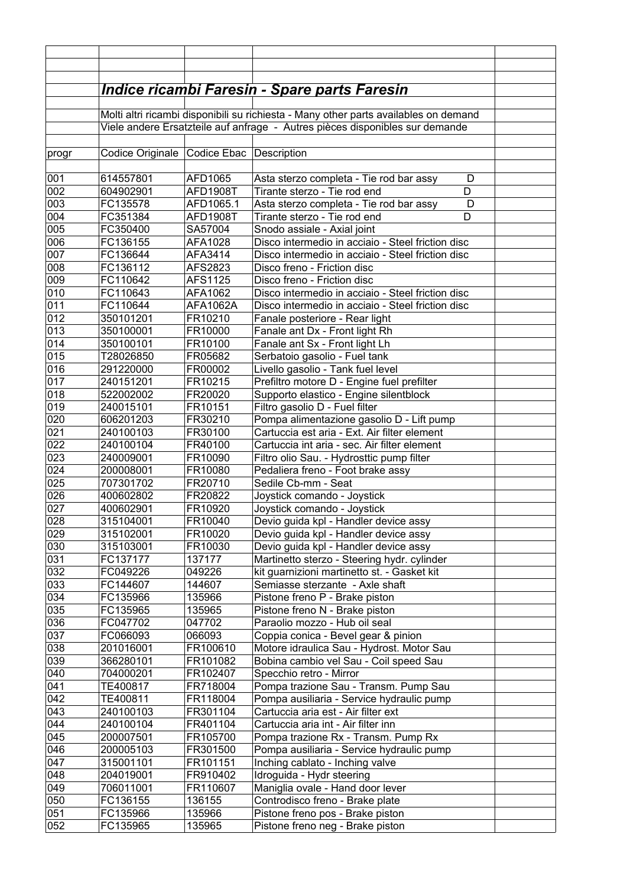|            |                                          |                       | <u> Indice ricambi Faresin - Spare parts Faresin</u>                                      |  |
|------------|------------------------------------------|-----------------------|-------------------------------------------------------------------------------------------|--|
|            |                                          |                       |                                                                                           |  |
|            |                                          |                       | Molti altri ricambi disponibili su richiesta - Many other parts availables on demand      |  |
|            |                                          |                       | Viele andere Ersatzteile auf anfrage - Autres pièces disponibles sur demande              |  |
|            |                                          |                       |                                                                                           |  |
| progr      | Codice Originale Codice Ebac Description |                       |                                                                                           |  |
|            |                                          |                       |                                                                                           |  |
| 001        | 614557801                                | AFD1065               | Asta sterzo completa - Tie rod bar assy<br>D                                              |  |
| 002<br>003 | 604902901<br>FC135578                    | AFD1908T<br>AFD1065.1 | Tirante sterzo - Tie rod end<br>D<br>Asta sterzo completa - Tie rod bar assy<br>D         |  |
| 004        | FC351384                                 | <b>AFD1908T</b>       | Tirante sterzo - Tie rod end<br>D                                                         |  |
| 005        | FC350400                                 | SA57004               | Snodo assiale - Axial joint                                                               |  |
| 006        | FC136155                                 | AFA1028               | Disco intermedio in acciaio - Steel friction disc                                         |  |
| 007        | FC136644                                 | AFA3414               | Disco intermedio in acciaio - Steel friction disc                                         |  |
| 008        | FC136112                                 | AFS2823               | Disco freno - Friction disc                                                               |  |
| 009        | FC110642                                 | AFS1125               | Disco freno - Friction disc                                                               |  |
| 010        | FC110643                                 | AFA1062               | Disco intermedio in acciaio - Steel friction disc                                         |  |
| 011        | FC110644                                 | AFA1062A              | Disco intermedio in acciaio - Steel friction disc                                         |  |
| 012        | 350101201                                | FR10210               | Fanale posteriore - Rear light                                                            |  |
| 013        | 350100001                                | FR10000               | Fanale ant Dx - Front light Rh                                                            |  |
| 014        | 350100101                                | FR10100               | Fanale ant Sx - Front light Lh                                                            |  |
| 015        | T28026850                                | FR05682               | Serbatoio gasolio - Fuel tank                                                             |  |
| 016        | 291220000                                | FR00002               | Livello gasolio - Tank fuel level                                                         |  |
| 017        | 240151201                                | FR10215               | Prefiltro motore D - Engine fuel prefilter                                                |  |
| 018        | 522002002                                | FR20020               | Supporto elastico - Engine silentblock                                                    |  |
| 019<br>020 | 240015101                                | FR10151               | Filtro gasolio D - Fuel filter                                                            |  |
| 021        | 606201203<br>240100103                   | FR30210<br>FR30100    | Pompa alimentazione gasolio D - Lift pump<br>Cartuccia est aria - Ext. Air filter element |  |
| 022        | 240100104                                | FR40100               | Cartuccia int aria - sec. Air filter element                                              |  |
| 023        | 240009001                                | FR10090               | Filtro olio Sau. - Hydrosttic pump filter                                                 |  |
| 024        | 200008001                                | FR10080               | Pedaliera freno - Foot brake assy                                                         |  |
| 025        | 707301702                                | FR20710               | Sedile Cb-mm - Seat                                                                       |  |
| 026        | 400602802                                | FR20822               | Joystick comando - Joystick                                                               |  |
| 027        | 400602901                                | FR10920               | Joystick comando - Joystick                                                               |  |
| 028        | 315104001                                | FR10040               | Devio guida kpl - Handler device assy                                                     |  |
| 029        | 315102001                                | FR10020               | Devio guida kpl - Handler device assy                                                     |  |
| 030        | 315103001                                | FR10030               | Devio guida kpl - Handler device assy                                                     |  |
| 031        | FC137177                                 | 137177                | Martinetto sterzo - Steering hydr. cylinder                                               |  |
| 032        | FC049226                                 | 049226                | kit guarnizioni martinetto st. - Gasket kit                                               |  |
| 033        | FC144607                                 | 144607                | Semiasse sterzante - Axle shaft                                                           |  |
| 034        | FC135966                                 | 135966                | Pistone freno P - Brake piston                                                            |  |
| 035        | FC135965                                 | 135965<br>047702      | Pistone freno N - Brake piston<br>Paraolio mozzo - Hub oil seal                           |  |
| 036<br>037 | FC047702<br>FC066093                     | 066093                | Coppia conica - Bevel gear & pinion                                                       |  |
| 038        | 201016001                                | FR100610              | Motore idraulica Sau - Hydrost. Motor Sau                                                 |  |
| 039        | 366280101                                | FR101082              | Bobina cambio vel Sau - Coil speed Sau                                                    |  |
| 040        | 704000201                                | FR102407              | Specchio retro - Mirror                                                                   |  |
| 041        | TE400817                                 | FR718004              | Pompa trazione Sau - Transm. Pump Sau                                                     |  |
| 042        | TE400811                                 | FR118004              | Pompa ausiliaria - Service hydraulic pump                                                 |  |
| 043        | 240100103                                | FR301104              | Cartuccia aria est - Air filter ext                                                       |  |
| 044        | 240100104                                | FR401104              | Cartuccia aria int - Air filter inn                                                       |  |
| 045        | 200007501                                | FR105700              | Pompa trazione Rx - Transm. Pump Rx                                                       |  |
| 046        | 200005103                                | FR301500              | Pompa ausiliaria - Service hydraulic pump                                                 |  |
| 047        | 315001101                                | FR101151              | Inching cablato - Inching valve                                                           |  |
| 048        | 204019001                                | FR910402              | Idroguida - Hydr steering                                                                 |  |
| 049        | 706011001                                | FR110607              | Maniglia ovale - Hand door lever                                                          |  |
| 050        | FC136155                                 | 136155                | Controdisco freno - Brake plate                                                           |  |
| 051        | FC135966                                 | 135966                | Pistone freno pos - Brake piston                                                          |  |
| 052        | FC135965                                 | 135965                | Pistone freno neg - Brake piston                                                          |  |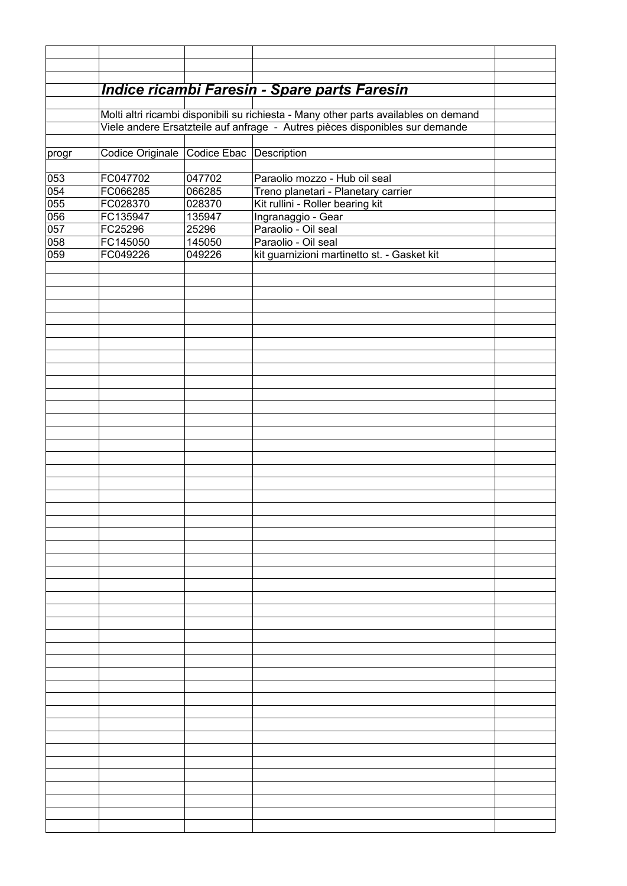|            | Indice ricambi Faresin - Spare parts Faresin                                         |                  |                                                                         |  |  |  |
|------------|--------------------------------------------------------------------------------------|------------------|-------------------------------------------------------------------------|--|--|--|
|            | Molti altri ricambi disponibili su richiesta - Many other parts availables on demand |                  |                                                                         |  |  |  |
|            | Viele andere Ersatzteile auf anfrage - Autres pièces disponibles sur demande         |                  |                                                                         |  |  |  |
| progr      | Codice Originale Codice Ebac Description                                             |                  |                                                                         |  |  |  |
|            |                                                                                      |                  |                                                                         |  |  |  |
| 053        | FC047702                                                                             | 047702           | Paraolio mozzo - Hub oil seal                                           |  |  |  |
| 054<br>055 | FC066285<br>FC028370                                                                 | 066285<br>028370 | Treno planetari - Planetary carrier<br>Kit rullini - Roller bearing kit |  |  |  |
| 056        | FC135947                                                                             | 135947           | Ingranaggio - Gear                                                      |  |  |  |
| 057        | FC25296                                                                              | 25296            | Paraolio - Oil seal                                                     |  |  |  |
| 058        | FC145050                                                                             | 145050           | Paraolio - Oil seal                                                     |  |  |  |
| 059        | FC049226                                                                             | 049226           | kit guarnizioni martinetto st. - Gasket kit                             |  |  |  |
|            |                                                                                      |                  |                                                                         |  |  |  |
|            |                                                                                      |                  |                                                                         |  |  |  |
|            |                                                                                      |                  |                                                                         |  |  |  |
|            |                                                                                      |                  |                                                                         |  |  |  |
|            |                                                                                      |                  |                                                                         |  |  |  |
|            |                                                                                      |                  |                                                                         |  |  |  |
|            |                                                                                      |                  |                                                                         |  |  |  |
|            |                                                                                      |                  |                                                                         |  |  |  |
|            |                                                                                      |                  |                                                                         |  |  |  |
|            |                                                                                      |                  |                                                                         |  |  |  |
|            |                                                                                      |                  |                                                                         |  |  |  |
|            |                                                                                      |                  |                                                                         |  |  |  |
|            |                                                                                      |                  |                                                                         |  |  |  |
|            |                                                                                      |                  |                                                                         |  |  |  |
|            |                                                                                      |                  |                                                                         |  |  |  |
|            |                                                                                      |                  |                                                                         |  |  |  |
|            |                                                                                      |                  |                                                                         |  |  |  |
|            |                                                                                      |                  |                                                                         |  |  |  |
|            |                                                                                      |                  |                                                                         |  |  |  |
|            |                                                                                      |                  |                                                                         |  |  |  |
|            |                                                                                      |                  |                                                                         |  |  |  |
|            |                                                                                      |                  |                                                                         |  |  |  |
|            |                                                                                      |                  |                                                                         |  |  |  |
|            |                                                                                      |                  |                                                                         |  |  |  |
|            |                                                                                      |                  |                                                                         |  |  |  |
|            |                                                                                      |                  |                                                                         |  |  |  |
|            |                                                                                      |                  |                                                                         |  |  |  |
|            |                                                                                      |                  |                                                                         |  |  |  |
|            |                                                                                      |                  |                                                                         |  |  |  |
|            |                                                                                      |                  |                                                                         |  |  |  |
|            |                                                                                      |                  |                                                                         |  |  |  |
|            |                                                                                      |                  |                                                                         |  |  |  |
|            |                                                                                      |                  |                                                                         |  |  |  |
|            |                                                                                      |                  |                                                                         |  |  |  |
|            |                                                                                      |                  |                                                                         |  |  |  |
|            |                                                                                      |                  |                                                                         |  |  |  |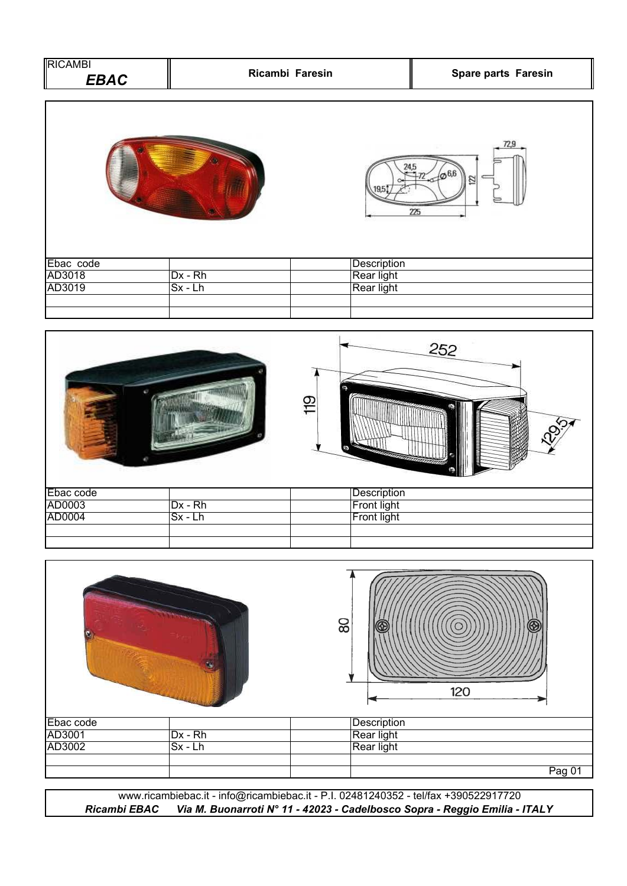| <b>RICAMBI</b><br><b>EBAC</b> | Ricambi Faresin |             | Spare parts Faresin |  |
|-------------------------------|-----------------|-------------|---------------------|--|
|                               |                 |             | 72,9<br>122<br>225  |  |
| Ebac code                     |                 | Description |                     |  |
| AD3018                        | $Dx - Rh$       | Rear light  |                     |  |
| AD3019                        | $Sx - Lh$       | Rear light  |                     |  |
|                               |                 |             |                     |  |





*Ricambi EBAC Via M. Buonarroti N° 11 - 42023 - Cadelbosco Sopra - Reggio Emilia - ITALY* www.ricambiebac.it - info@ricambiebac.it - P.I. 02481240352 - tel/fax +390522917720